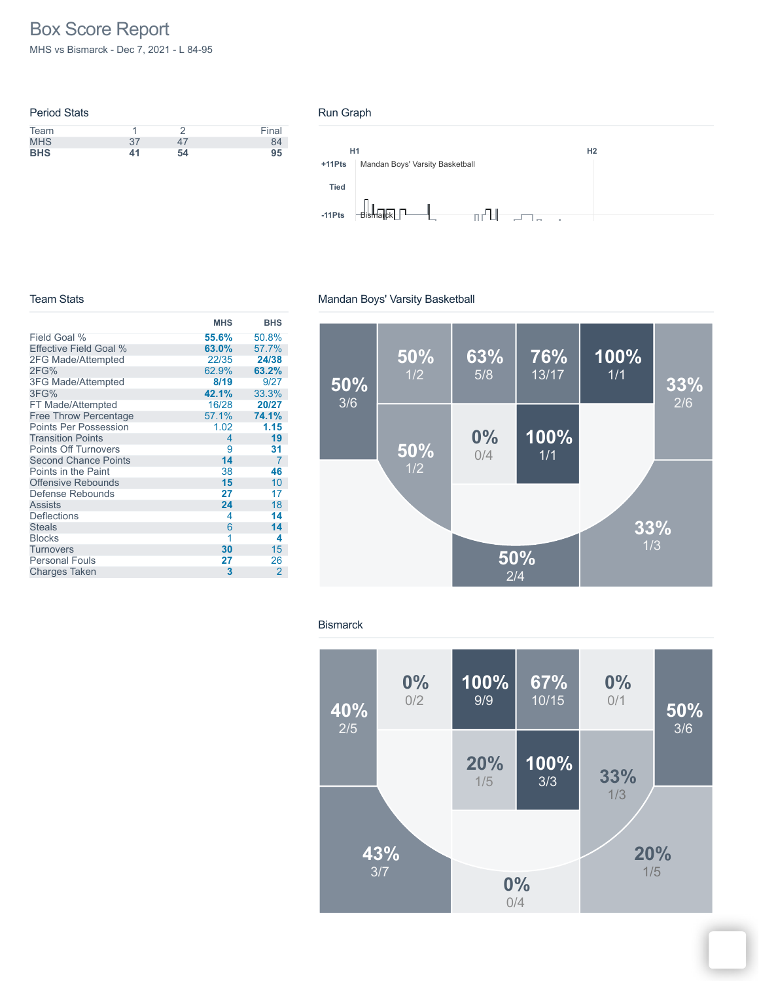# Box Score Report

MHS vs Bismarck - Dec 7, 2021 - L 84-95

| <b>Period Stats</b> |     |    |       |
|---------------------|-----|----|-------|
| Team                |     |    | Final |
| <b>MHS</b>          | -37 | 47 | 84    |
| <b>BHS</b>          | 41  | 54 | 95    |

#### Run Graph



#### Team Stats

|                              | <b>MHS</b>               | <b>BHS</b>     |
|------------------------------|--------------------------|----------------|
| Field Goal %                 | 55.6%                    | 50.8%          |
| Effective Field Goal %       | 63.0%                    | 57.7%          |
| 2FG Made/Attempted           | 22/35                    | 24/38          |
| 2FG%                         | 62.9%                    | 63.2%          |
| <b>3FG Made/Attempted</b>    | 8/19                     | 9/27           |
| 3FG%                         | 42.1%                    | 33.3%          |
| FT Made/Attempted            | 16/28                    | 20/27          |
| <b>Free Throw Percentage</b> | 57.1%                    | 74.1%          |
| <b>Points Per Possession</b> | 1.02                     | 1.15           |
| <b>Transition Points</b>     | $\overline{\mathcal{A}}$ | 19             |
| <b>Points Off Turnovers</b>  | 9                        | 31             |
| <b>Second Chance Points</b>  | 14                       | 7              |
| Points in the Paint          | 38                       | 46             |
| <b>Offensive Rebounds</b>    | 15                       | 10             |
| Defense Rebounds             | 27                       | 17             |
| <b>Assists</b>               | 24                       | 18             |
| Deflections                  | 4                        | 14             |
| <b>Steals</b>                | 6                        | 14             |
| <b>Blocks</b>                | 1                        | 4              |
| Turnovers                    | 30                       | 15             |
| <b>Personal Fouls</b>        | 27                       | 26             |
| <b>Charges Taken</b>         | 3                        | $\overline{2}$ |

### Mandan Boys' Varsity Basketball